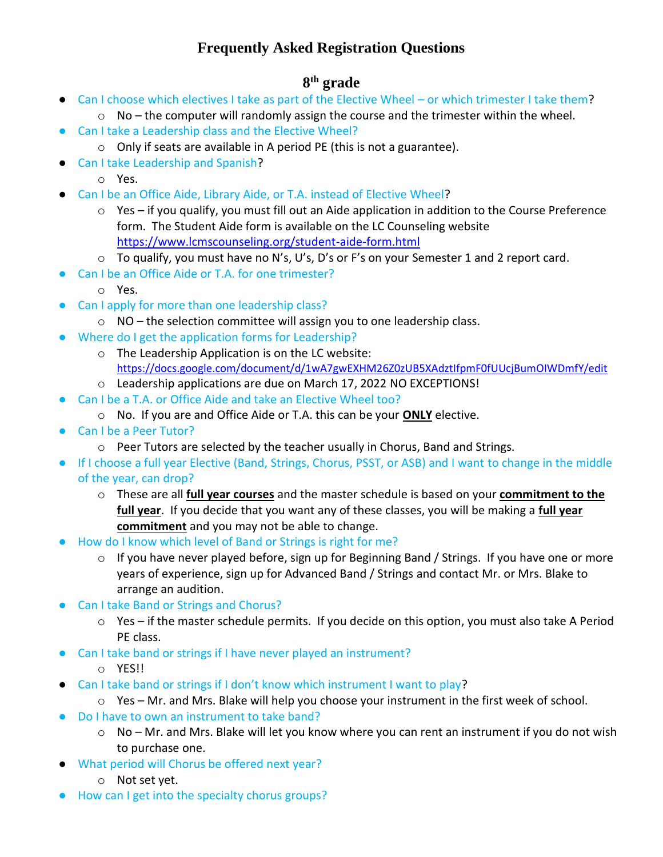## **Frequently Asked Registration Questions**

## **8 th grade**

- Can I choose which electives I take as part of the Elective Wheel or which trimester I take them?
	- $\circ$  No the computer will randomly assign the course and the trimester within the wheel.
- Can I take a Leadership class and the Elective Wheel?
	- o Only if seats are available in A period PE (this is not a guarantee).
- Can I take Leadership and Spanish?
	- o Yes.
- Can I be an Office Aide, Library Aide, or T.A. instead of Elective Wheel?
	- o Yes if you qualify, you must fill out an Aide application in addition to the Course Preference form. The Student Aide form is available on the LC Counseling website <https://www.lcmscounseling.org/student-aide-form.html>
	- o To qualify, you must have no N's, U's, D's or F's on your Semester 1 and 2 report card.
- Can I be an Office Aide or T.A. for one trimester?
	- o Yes.
- Can I apply for more than one leadership class?
	- o NO the selection committee will assign you to one leadership class.
- Where do I get the application forms for Leadership?
	- o The Leadership Application is on the LC website: <https://docs.google.com/document/d/1wA7gwEXHM26Z0zUB5XAdztIfpmF0fUUcjBumOIWDmfY/edit>
	- o Leadership applications are due on March 17, 2022 NO EXCEPTIONS!
- Can I be a T.A. or Office Aide and take an Elective Wheel too?
	- o No. If you are and Office Aide or T.A. this can be your **ONLY** elective.
- Can I be a Peer Tutor?
	- $\circ$  Peer Tutors are selected by the teacher usually in Chorus, Band and Strings.
- If I choose a full year Elective (Band, Strings, Chorus, PSST, or ASB) and I want to change in the middle of the year, can drop?
	- o These are all **full year courses** and the master schedule is based on your **commitment to the full year**. If you decide that you want any of these classes, you will be making a **full year commitment** and you may not be able to change.
- How do I know which level of Band or Strings is right for me?
	- o If you have never played before, sign up for Beginning Band / Strings. If you have one or more years of experience, sign up for Advanced Band / Strings and contact Mr. or Mrs. Blake to arrange an audition.
- Can I take Band or Strings and Chorus?
	- $\circ$  Yes if the master schedule permits. If you decide on this option, you must also take A Period PE class.
- Can I take band or strings if I have never played an instrument?
	- o YES!!
- Can I take band or strings if I don't know which instrument I want to play?
	- $\circ$  Yes Mr. and Mrs. Blake will help you choose your instrument in the first week of school.
- Do I have to own an instrument to take band?
	- o No Mr. and Mrs. Blake will let you know where you can rent an instrument if you do not wish to purchase one.
- What period will Chorus be offered next year?
	- o Not set yet.
- How can I get into the specialty chorus groups?